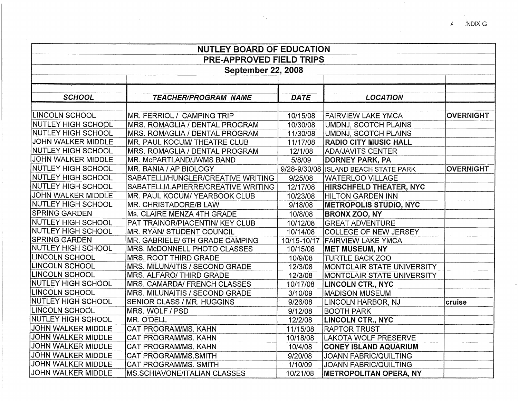| <b>NUTLEY BOARD OF EDUCATION</b> |                                      |             |                                      |                  |  |  |
|----------------------------------|--------------------------------------|-------------|--------------------------------------|------------------|--|--|
| <b>PRE-APPROVED FIELD TRIPS</b>  |                                      |             |                                      |                  |  |  |
| <b>September 22, 2008</b>        |                                      |             |                                      |                  |  |  |
|                                  |                                      |             |                                      |                  |  |  |
|                                  |                                      |             |                                      |                  |  |  |
| <b>SCHOOL</b>                    | <b>TEACHER/PROGRAM NAME</b>          | <b>DATE</b> | <b>LOCATION</b>                      |                  |  |  |
|                                  |                                      |             |                                      |                  |  |  |
| LINCOLN SCHOOL                   | MR. FERRIOL / CAMPING TRIP           | 10/15/08    | <b>FAIRVIEW LAKE YMCA</b>            | <b>OVERNIGHT</b> |  |  |
| <b>NUTLEY HIGH SCHOOL</b>        | MRS. ROMAGLIA / DENTAL PROGRAM       | 10/30/08    | UMDNJ, SCOTCH PLAINS                 |                  |  |  |
| NUTLEY HIGH SCHOOL               | MRS. ROMAGLIA / DENTAL PROGRAM       | 11/30/08    | <b>UMDNJ, SCOTCH PLAINS</b>          |                  |  |  |
| JOHN WALKER MIDDLE               | MR. PAUL KOCUM/ THEATRE CLUB         | 11/17/08    | <b>RADIO CITY MUSIC HALL</b>         |                  |  |  |
| NUTLEY HIGH SCHOOL               | MRS. ROMAGLIA / DENTAL PROGRAM       | 12/1/08     | ADA/JAVITS CENTER                    |                  |  |  |
| JOHN WALKER MIDDLE               | MR. McPARTLAND/JWMS BAND             | 5/8/09      | <b>DORNEY PARK, PA</b>               |                  |  |  |
| NUTLEY HIGH SCHOOL               | MR. BANIA / AP BIOLOGY               |             | 9/28-9/30/08 ISLAND BEACH STATE PARK | <b>OVERNIGHT</b> |  |  |
| NUTLEY HIGH SCHOOL               | SABATELLI/HUNGLER/CREATIVE WRITING   | 9/25/08     | WATERLOO VILLAGE                     |                  |  |  |
| NUTLEY HIGH SCHOOL               | SABATELLI/LAPIERRE/CREATIVE WRITING  | 12/17/08    | <b>HIRSCHFELD THEATER, NYC</b>       |                  |  |  |
| JOHN WALKER MIDDLE               | <b>MR. PAUL KOCUM/ YEARBOOK CLUB</b> | 10/23/08    | HILTON GARDEN INN                    |                  |  |  |
| NUTLEY HIGH SCHOOL               | MR. CHRISTADORE/B LAW                | 9/18/08     | <b>METROPOLIS STUDIO, NYC</b>        |                  |  |  |
| SPRING GARDEN                    | Ms. CLAIRE MENZA 4TH GRADE           | 10/8/08     | <b>BRONX ZOO, NY</b>                 |                  |  |  |
| <b>NUTLEY HIGH SCHOOL</b>        | PAT TRAINOR/PIACENTIN/ KEY CLUB      | 10/12/08    | <b>GREAT ADVENTURE</b>               |                  |  |  |
| NUTLEY HIGH SCHOOL               | MR. RYAN/ STUDENT COUNCIL            | 10/14/08    | <b>COLLEGE OF NEW JERSEY</b>         |                  |  |  |
| <b>SPRING GARDEN</b>             | MR. GABRIELE/ 6TH GRADE CAMPING      | 10/15-10/17 | <b>FAIRVIEW LAKE YMCA</b>            |                  |  |  |
| <b>NUTLEY HIGH SCHOOL</b>        | MRS. McDONNELL PHOTO CLASSES         | 10/15/08    | <b>MET MUSEUM, NY</b>                |                  |  |  |
| LINCOLN SCHOOL                   | <b>MRS. ROOT THIRD GRADE</b>         | 10/9/08     | <b>TURTLE BACK ZOO</b>               |                  |  |  |
| LINCOLN SCHOOL                   | MRS. MILUNAITIS / SECOND GRADE       | 12/3/08     | MONTCLAIR STATE UNIVERSITY           |                  |  |  |
| <b>LINCOLN SCHOOL</b>            | MRS. ALFARO/ THIRD GRADE             | 12/3/08     | MONTCLAIR STATE UNIVERSITY           |                  |  |  |
| <b>NUTLEY HIGH SCHOOL</b>        | MRS. CAMARDA/ FRENCH CLASSES         | 10/17/08    | <b>LINCOLN CTR., NYC</b>             |                  |  |  |
| LINCOLN SCHOOL                   | MRS. MILUNAITIS / SECOND GRADE       | 3/10/09     | <b>MADISON MUSEUM</b>                |                  |  |  |
| <b>NUTLEY HIGH SCHOOL</b>        | SENIOR CLASS / MR. HUGGINS           | 9/26/08     | LINCOLN HARBOR, NJ                   | cruise           |  |  |
| LINCOLN SCHOOL                   | MRS. WOLF / PSD                      | 9/12/08     | <b>BOOTH PARK</b>                    |                  |  |  |
| <b>NUTLEY HIGH SCHOOL</b>        | MR. O'DELL                           | 12/2/08     | <b>LINCOLN CTR., NYC</b>             |                  |  |  |
| JOHN WALKER MIDDLE               | CAT PROGRAM/MS. KAHN                 | 11/15/08    | <b>RAPTOR TRUST</b>                  |                  |  |  |
| JOHN WALKER MIDDLE               | CAT PROGRAM/MS, KAHN                 | 10/18/08    | LAKOTA WOLF PRESERVE                 |                  |  |  |
| JOHN WALKER MIDDLE               | <b>CAT PROGRAM/MS. KAHN</b>          | 10/4/08     | <b>CONEY ISLAND AQUARIUM</b>         |                  |  |  |
| JOHN WALKER MIDDLE               | CAT PROGRAM/MS.SMITH                 | 9/20/08     | <b>JOANN FABRIC/QUILTING</b>         |                  |  |  |
| <b>JOHN WALKER MIDDLE</b>        | CAT PROGRAM/MS. SMITH                | 1/10/09     | <b>JOANN FABRIC/QUILTING</b>         |                  |  |  |
| <b>JOHN WALKER MIDDLE</b>        | <b>MS.SCHIAVONE/ITALIAN CLASSES</b>  | 10/21/08    | <b>METROPOLITAN OPERA, NY</b>        |                  |  |  |

/!- iNDIX G